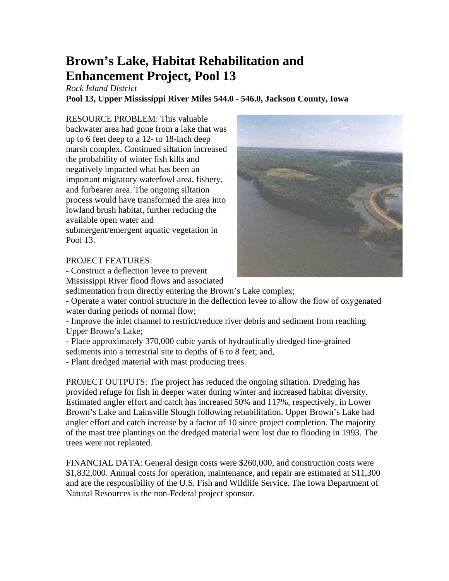## **Brown's Lake, Habitat Rehabilitation and Enhancement Project, Pool 13**

*Rock Island District* 

**Pool 13, Upper Mississippi River Miles 544.0 - 546.0, Jackson County, Iowa** 

RESOURCE PROBLEM: This valuable backwater area had gone from a lake that was up to 6 feet deep to a 12- to 18-inch deep marsh complex. Continued siltation increased the probability of winter fish kills and negatively impacted what has been an important migratory waterfowl area, fishery, and furbearer area. The ongoing siltation process would have transformed the area into lowland brush habitat, further reducing the available open water and submergent/emergent aquatic vegetation in Pool 13.

## PROJECT FEATURES:

- Construct a deflection levee to prevent

Mississippi River flood flows and associated sedimentation from directly entering the Brown's Lake complex;

- Operate a water control structure in the deflection levee to allow the flow of oxygenated water during periods of normal flow;

- Improve the inlet channel to restrict/reduce river debris and sediment from reaching Upper Brown's Lake;

- Place approximately 370,000 cubic yards of hydraulically dredged fine-grained sediments into a terrestrial site to depths of 6 to 8 feet; and,

- Plant dredged material with mast producing trees.

PROJECT OUTPUTS: The project has reduced the ongoing siltation. Dredging has provided refuge for fish in deeper water during winter and increased habitat diversity. Estimated angler effort and catch has increased 50% and 117%, respectively, in Lower Brown's Lake and Lainsville Slough following rehabilitation. Upper Brown's Lake had angler effort and catch increase by a factor of 10 since project completion. The majority of the mast tree plantings on the dredged material were lost due to flooding in 1993. The trees were not replanted.

FINANCIAL DATA: General design costs were \$260,000, and construction costs were \$1,832,000. Annual costs for operation, maintenance, and repair are estimated at \$11,300 and are the responsibility of the U.S. Fish and Wildlife Service. The Iowa Department of Natural Resources is the non-Federal project sponsor.